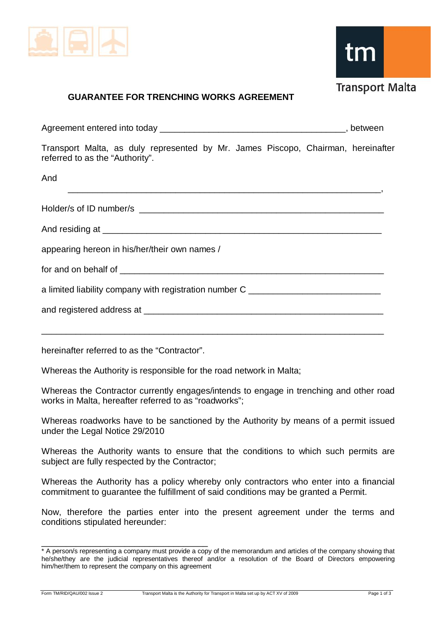

tm

## **Transport Malta**

## **GUARANTEE FOR TRENCHING WORKS AGREEMENT**

Agreement entered into today entertain the state of the state of the state of the state of the state of the state of the state of the state of the state of the state of the state of the state of the state of the state of t

Transport Malta, as duly represented by Mr. James Piscopo, Chairman, hereinafter referred to as the "Authority".

And

| <u> 1989 - Jan James James James James James James James James James James James James James James James James J</u> |
|----------------------------------------------------------------------------------------------------------------------|
|                                                                                                                      |
|                                                                                                                      |
| appearing hereon in his/her/their own names /                                                                        |
|                                                                                                                      |
| a limited liability company with registration number C _________________________                                     |
|                                                                                                                      |
|                                                                                                                      |

hereinafter referred to as the "Contractor".

Whereas the Authority is responsible for the road network in Malta;

Whereas the Contractor currently engages/intends to engage in trenching and other road works in Malta, hereafter referred to as "roadworks":

Whereas roadworks have to be sanctioned by the Authority by means of a permit issued under the Legal Notice 29/2010

Whereas the Authority wants to ensure that the conditions to which such permits are subject are fully respected by the Contractor;

Whereas the Authority has a policy whereby only contractors who enter into a financial commitment to guarantee the fulfillment of said conditions may be granted a Permit.

Now, therefore the parties enter into the present agreement under the terms and conditions stipulated hereunder:

\_\_\_\_\_\_\_\_\_\_\_\_\_\_\_\_\_\_\_\_\_\_\_\_\_\_\_\_\_\_\_\_\_\_ \* A person/s representing a company must provide a copy of the memorandum and articles of the company showing that he/she/they are the judicial representatives thereof and/or a resolution of the Board of Directors empowering him/her/them to represent the company on this agreement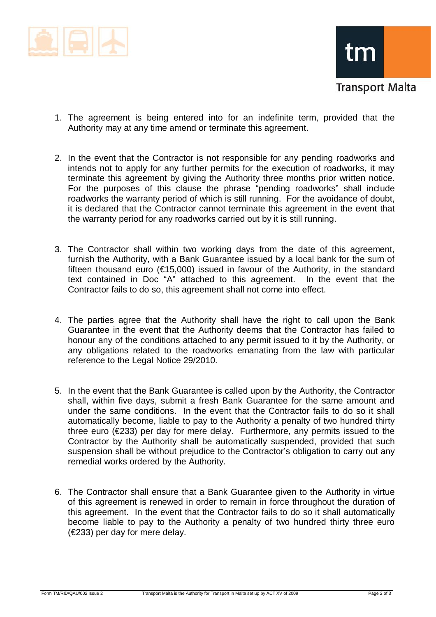



- 1. The agreement is being entered into for an indefinite term, provided that the Authority may at any time amend or terminate this agreement.
- 2. In the event that the Contractor is not responsible for any pending roadworks and intends not to apply for any further permits for the execution of roadworks, it may terminate this agreement by giving the Authority three months prior written notice. For the purposes of this clause the phrase "pending roadworks" shall include roadworks the warranty period of which is still running. For the avoidance of doubt, it is declared that the Contractor cannot terminate this agreement in the event that the warranty period for any roadworks carried out by it is still running.
- 3. The Contractor shall within two working days from the date of this agreement, furnish the Authority, with a Bank Guarantee issued by a local bank for the sum of fifteen thousand euro ( $\epsilon$ 15,000) issued in favour of the Authority, in the standard text contained in Doc "A" attached to this agreement. In the event that the Contractor fails to do so, this agreement shall not come into effect.
- 4. The parties agree that the Authority shall have the right to call upon the Bank Guarantee in the event that the Authority deems that the Contractor has failed to honour any of the conditions attached to any permit issued to it by the Authority, or any obligations related to the roadworks emanating from the law with particular reference to the Legal Notice 29/2010.
- 5. In the event that the Bank Guarantee is called upon by the Authority, the Contractor shall, within five days, submit a fresh Bank Guarantee for the same amount and under the same conditions. In the event that the Contractor fails to do so it shall automatically become, liable to pay to the Authority a penalty of two hundred thirty three euro (€233) per day for mere delay. Furthermore, any permits issued to the Contractor by the Authority shall be automatically suspended, provided that such suspension shall be without prejudice to the Contractor's obligation to carry out any remedial works ordered by the Authority.
- 6. The Contractor shall ensure that a Bank Guarantee given to the Authority in virtue of this agreement is renewed in order to remain in force throughout the duration of this agreement. In the event that the Contractor fails to do so it shall automatically become liable to pay to the Authority a penalty of two hundred thirty three euro (€233) per day for mere delay.